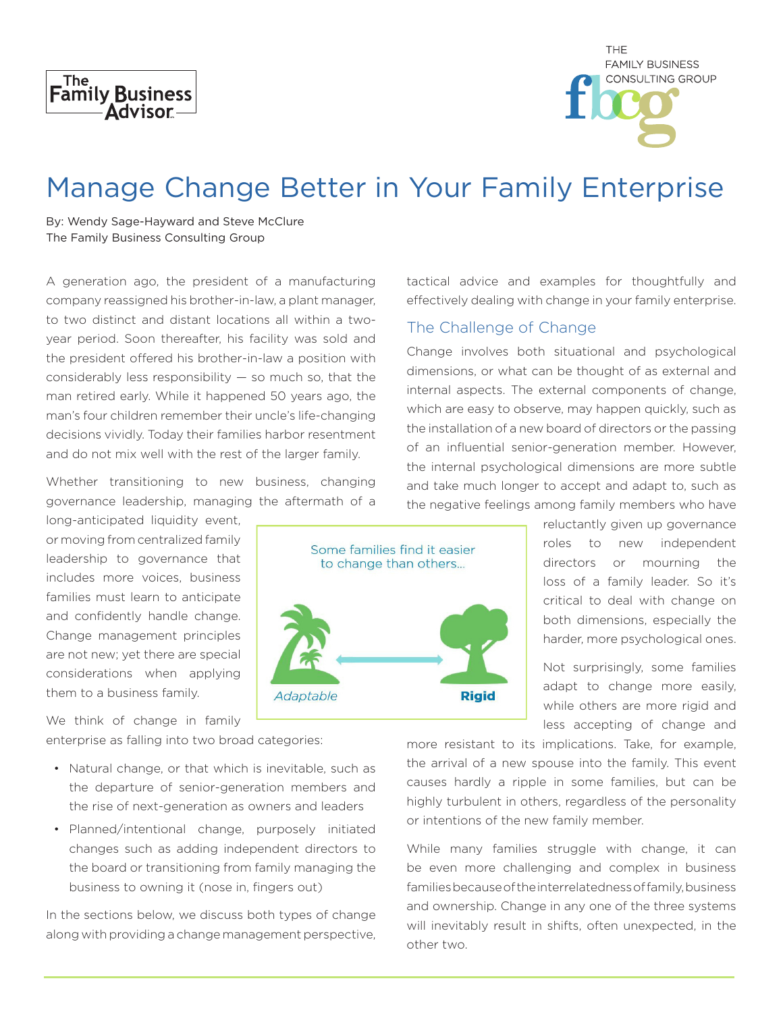



# Manage Change Better in Your Family Enterprise

By: Wendy Sage-Hayward and Steve McClure The Family Business Consulting Group

A generation ago, the president of a manufacturing company reassigned his brother-in-law, a plant manager, to two distinct and distant locations all within a twoyear period. Soon thereafter, his facility was sold and the president offered his brother-in-law a position with considerably less responsibility  $-$  so much so, that the man retired early. While it happened 50 years ago, the man's four children remember their uncle's life-changing decisions vividly. Today their families harbor resentment and do not mix well with the rest of the larger family.

Whether transitioning to new business, changing governance leadership, managing the aftermath of a

long-anticipated liquidity event, or moving from centralized family leadership to governance that includes more voices, business families must learn to anticipate and confidently handle change. Change management principles are not new; yet there are special considerations when applying them to a business family.

We think of change in family enterprise as falling into two broad categories:

- Natural change, or that which is inevitable, such as the departure of senior-generation members and the rise of next-generation as owners and leaders
- Planned/intentional change, purposely initiated changes such as adding independent directors to the board or transitioning from family managing the business to owning it (nose in, fingers out)

In the sections below, we discuss both types of change along with providing a change management perspective,

tactical advice and examples for thoughtfully and effectively dealing with change in your family enterprise.

#### The Challenge of Change

Change involves both situational and psychological dimensions, or what can be thought of as external and internal aspects. The external components of change, which are easy to observe, may happen quickly, such as the installation of a new board of directors or the passing of an influential senior-generation member. However, the internal psychological dimensions are more subtle and take much longer to accept and adapt to, such as the negative feelings among family members who have



reluctantly given up governance roles to new independent directors or mourning the loss of a family leader. So it's critical to deal with change on both dimensions, especially the harder, more psychological ones.

Not surprisingly, some families adapt to change more easily, while others are more rigid and less accepting of change and

more resistant to its implications. Take, for example, the arrival of a new spouse into the family. This event causes hardly a ripple in some families, but can be highly turbulent in others, regardless of the personality or intentions of the new family member.

While many families struggle with change, it can be even more challenging and complex in business families because of the interrelatedness of family, business and ownership. Change in any one of the three systems will inevitably result in shifts, often unexpected, in the other two.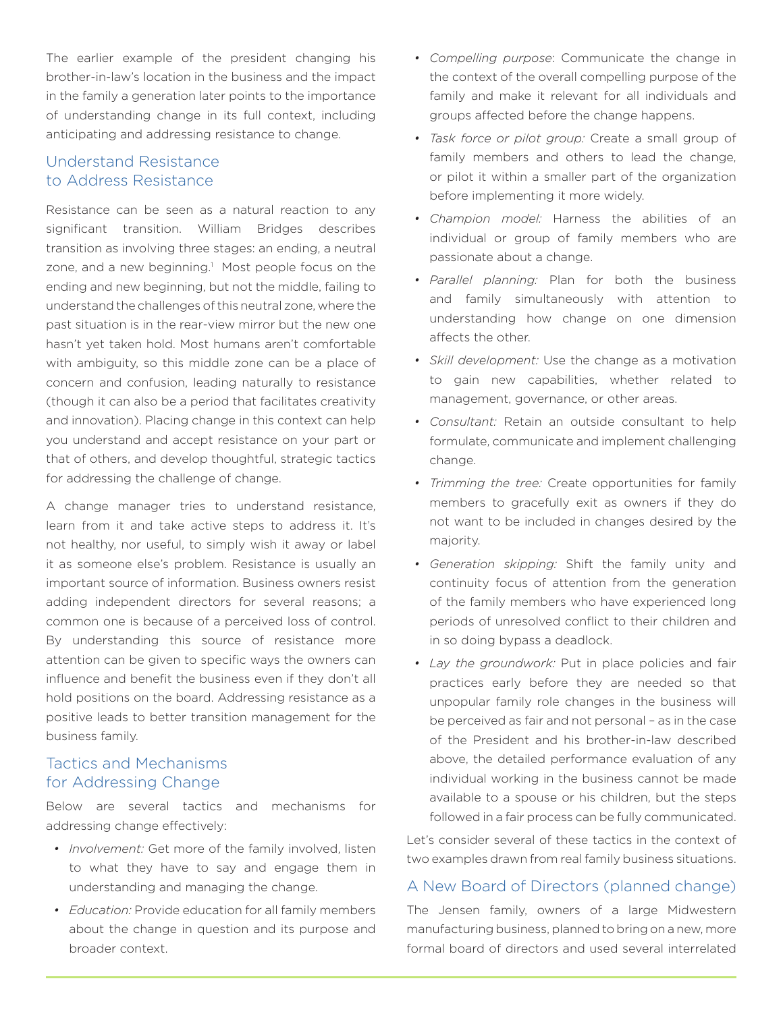The earlier example of the president changing his brother-in-law's location in the business and the impact in the family a generation later points to the importance of understanding change in its full context, including anticipating and addressing resistance to change.

### Understand Resistance to Address Resistance

Resistance can be seen as a natural reaction to any significant transition. William Bridges describes transition as involving three stages: an ending, a neutral zone, and a new beginning.<sup>1</sup> Most people focus on the ending and new beginning, but not the middle, failing to understand the challenges of this neutral zone, where the past situation is in the rear-view mirror but the new one hasn't yet taken hold. Most humans aren't comfortable with ambiguity, so this middle zone can be a place of concern and confusion, leading naturally to resistance (though it can also be a period that facilitates creativity and innovation). Placing change in this context can help you understand and accept resistance on your part or that of others, and develop thoughtful, strategic tactics for addressing the challenge of change.

A change manager tries to understand resistance, learn from it and take active steps to address it. It's not healthy, nor useful, to simply wish it away or label it as someone else's problem. Resistance is usually an important source of information. Business owners resist adding independent directors for several reasons; a common one is because of a perceived loss of control. By understanding this source of resistance more attention can be given to specific ways the owners can influence and benefit the business even if they don't all hold positions on the board. Addressing resistance as a positive leads to better transition management for the business family.

### Tactics and Mechanisms for Addressing Change

Below are several tactics and mechanisms for addressing change effectively:

- *• Involvement:* Get more of the family involved, listen to what they have to say and engage them in understanding and managing the change.
- *• Education:* Provide education for all family members about the change in question and its purpose and broader context.
- *• Compelling purpose*: Communicate the change in the context of the overall compelling purpose of the family and make it relevant for all individuals and groups affected before the change happens.
- *• Task force or pilot group:* Create a small group of family members and others to lead the change, or pilot it within a smaller part of the organization before implementing it more widely.
- *• Champion model:* Harness the abilities of an individual or group of family members who are passionate about a change.
- *• Parallel planning:* Plan for both the business and family simultaneously with attention to understanding how change on one dimension affects the other.
- *• Skill development:* Use the change as a motivation to gain new capabilities, whether related to management, governance, or other areas.
- *• Consultant:* Retain an outside consultant to help formulate, communicate and implement challenging change.
- *• Trimming the tree:* Create opportunities for family members to gracefully exit as owners if they do not want to be included in changes desired by the majority.
- *• Generation skipping:* Shift the family unity and continuity focus of attention from the generation of the family members who have experienced long periods of unresolved conflict to their children and in so doing bypass a deadlock.
- *• Lay the groundwork:* Put in place policies and fair practices early before they are needed so that unpopular family role changes in the business will be perceived as fair and not personal – as in the case of the President and his brother-in-law described above, the detailed performance evaluation of any individual working in the business cannot be made available to a spouse or his children, but the steps followed in a fair process can be fully communicated.

Let's consider several of these tactics in the context of two examples drawn from real family business situations.

## A New Board of Directors (planned change)

The Jensen family, owners of a large Midwestern manufacturing business, planned to bring on a new, more formal board of directors and used several interrelated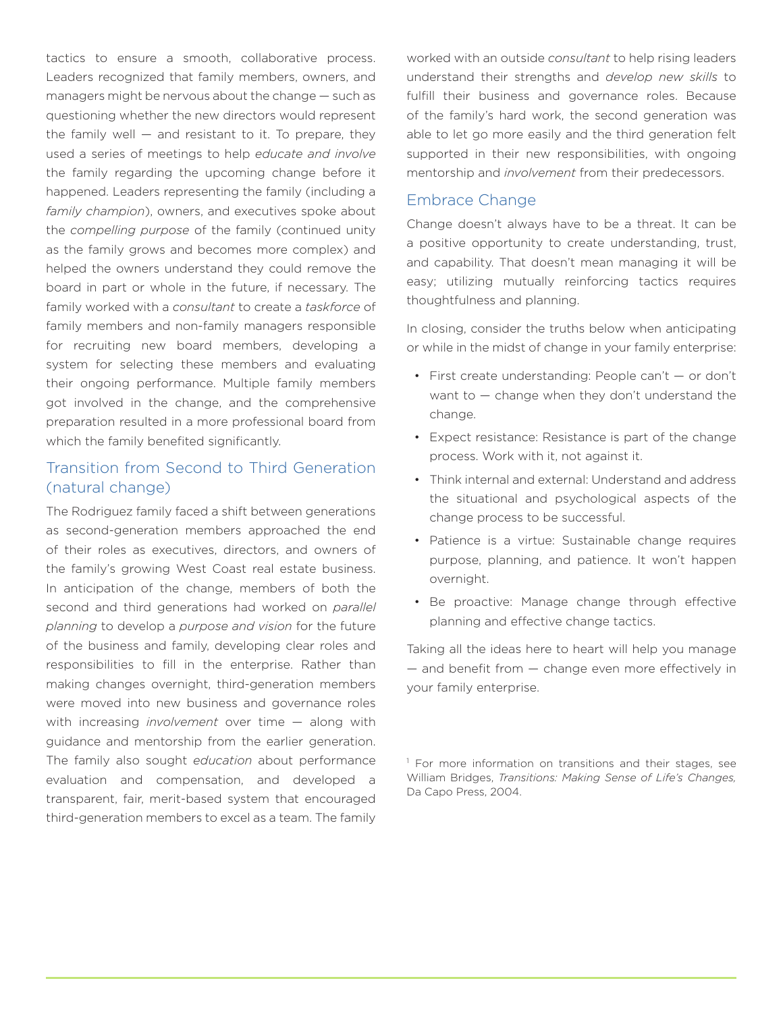tactics to ensure a smooth, collaborative process. Leaders recognized that family members, owners, and managers might be nervous about the change — such as questioning whether the new directors would represent the family well  $-$  and resistant to it. To prepare, they used a series of meetings to help *educate and involve*  the family regarding the upcoming change before it happened. Leaders representing the family (including a *family champion*), owners, and executives spoke about the *compelling purpose* of the family (continued unity as the family grows and becomes more complex) and helped the owners understand they could remove the board in part or whole in the future, if necessary. The family worked with a *consultant* to create a *taskforce* of family members and non-family managers responsible for recruiting new board members, developing a system for selecting these members and evaluating their ongoing performance. Multiple family members got involved in the change, and the comprehensive preparation resulted in a more professional board from which the family benefited significantly.

## Transition from Second to Third Generation (natural change)

The Rodriguez family faced a shift between generations as second-generation members approached the end of their roles as executives, directors, and owners of the family's growing West Coast real estate business. In anticipation of the change, members of both the second and third generations had worked on *parallel planning* to develop a *purpose and vision* for the future of the business and family, developing clear roles and responsibilities to fill in the enterprise. Rather than making changes overnight, third-generation members were moved into new business and governance roles with increasing *involvement* over time — along with guidance and mentorship from the earlier generation. The family also sought *education* about performance evaluation and compensation, and developed a transparent, fair, merit-based system that encouraged third-generation members to excel as a team. The family

worked with an outside *consultant* to help rising leaders understand their strengths and *develop new skills* to fulfill their business and governance roles. Because of the family's hard work, the second generation was able to let go more easily and the third generation felt supported in their new responsibilities, with ongoing mentorship and *involvement* from their predecessors.

#### Embrace Change

Change doesn't always have to be a threat. It can be a positive opportunity to create understanding, trust, and capability. That doesn't mean managing it will be easy; utilizing mutually reinforcing tactics requires thoughtfulness and planning.

In closing, consider the truths below when anticipating or while in the midst of change in your family enterprise:

- First create understanding: People can't or don't want to — change when they don't understand the change.
- Expect resistance: Resistance is part of the change process. Work with it, not against it.
- Think internal and external: Understand and address the situational and psychological aspects of the change process to be successful.
- Patience is a virtue: Sustainable change requires purpose, planning, and patience. It won't happen overnight.
- Be proactive: Manage change through effective planning and effective change tactics.

Taking all the ideas here to heart will help you manage — and benefit from — change even more effectively in your family enterprise.

<sup>&</sup>lt;sup>1</sup> For more information on transitions and their stages, see William Bridges, *Transitions: Making Sense of Life's Changes,* Da Capo Press, 2004.